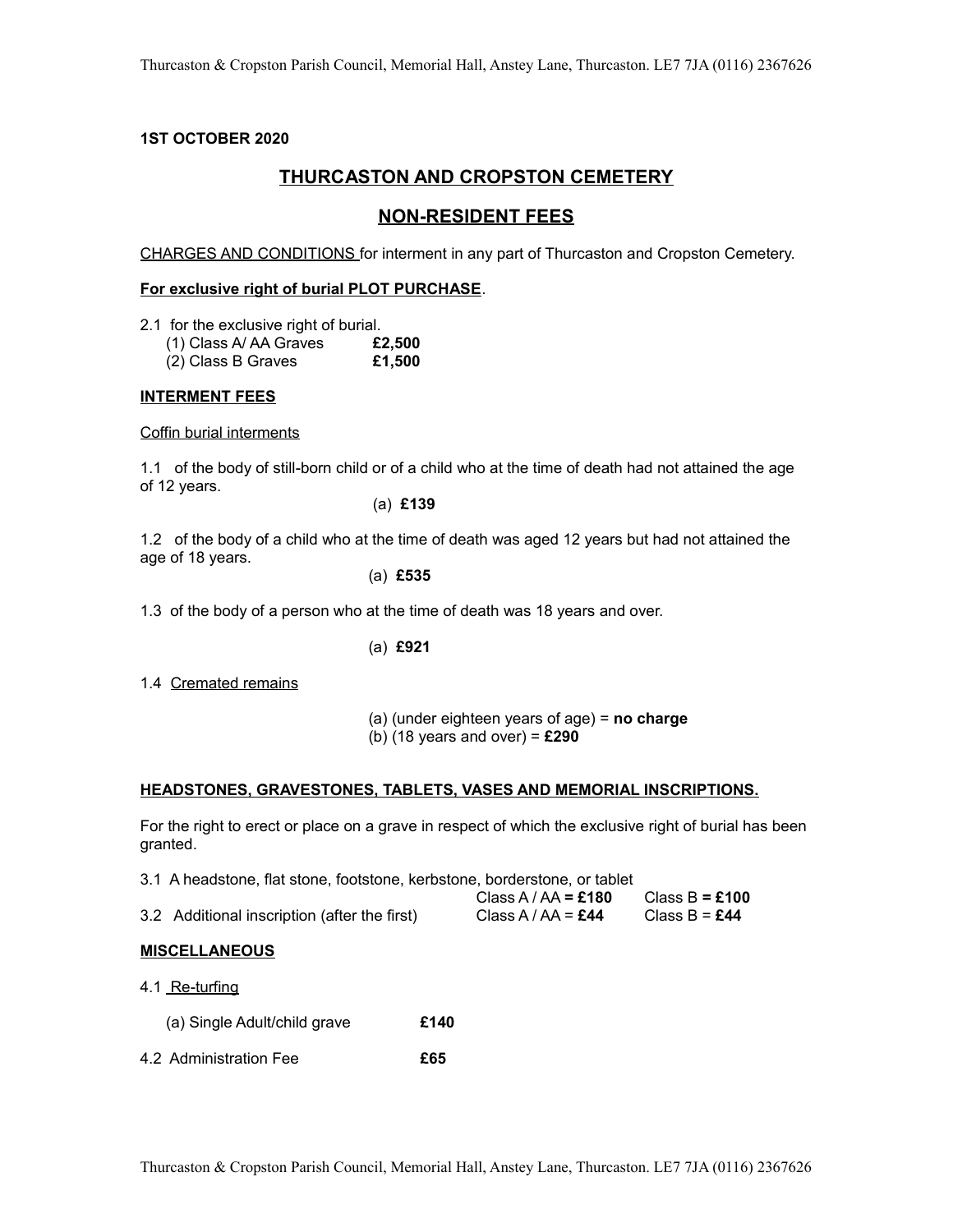## **1ST OCTOBER 2020**

# **THURCASTON AND CROPSTON CEMETERY**

# **NON-RESIDENT FEES**

CHARGES AND CONDITIONS for interment in any part of Thurcaston and Cropston Cemetery.

### **For exclusive right of burial PLOT PURCHASE**.

- 2.1 for the exclusive right of burial.
	- (1) Class A/ AA Graves **£2,500**
	- (2) Class B Graves **£1,500**

## **INTERMENT FEES**

Coffin burial interments

1.1 of the body of still-born child or of a child who at the time of death had not attained the age of 12 years.

(a) **£139** 

1.2 of the body of a child who at the time of death was aged 12 years but had not attained the age of 18 years.

(a) **£535**

1.3 of the body of a person who at the time of death was 18 years and over.

(a) **£921**

1.4 Cremated remains

 (a) (under eighteen years of age) = **no charge** (b) (18 years and over) = **£290**

#### **HEADSTONES, GRAVESTONES, TABLETS, VASES AND MEMORIAL INSCRIPTIONS.**

For the right to erect or place on a grave in respect of which the exclusive right of burial has been granted.

| 3.1 A headstone, flat stone, footstone, kerbstone, borderstone, or tablet |  |  |  |  |  |  |  |
|---------------------------------------------------------------------------|--|--|--|--|--|--|--|
|---------------------------------------------------------------------------|--|--|--|--|--|--|--|

|                                              | Class A / AA = £180 | Class B = £100 |
|----------------------------------------------|---------------------|----------------|
| 3.2 Additional inscription (after the first) | Class A / AA = £44  | Class B = £44  |

#### **MISCELLANEOUS**

- 4.1 Re-turfing
	- (a) Single Adult/child grave **£140**
- 4.2 Administration Fee **£65**